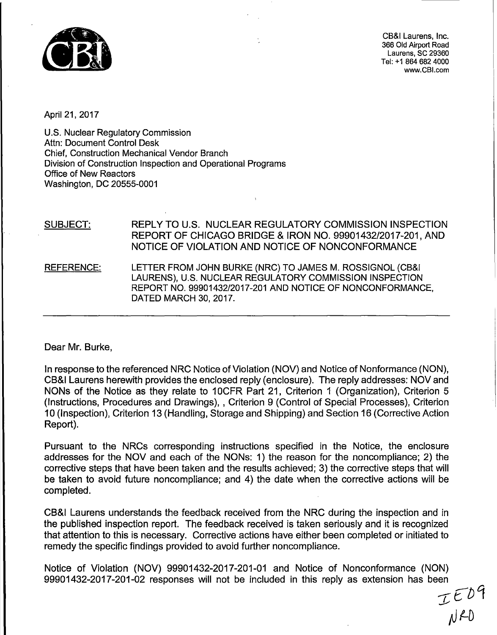

CB&I Laurens, Inc. 366 Old Airport Road Laurens, SC 29360 Tel: +1 864 682 4000 www.CBl.com

April 21, 2017

U.S. Nuclear Regulatory Commission Attn: Document Control Desk Chief, Construction Mechanical Vendor Branch Division of Construction Inspection and Operational Programs Office of New Reactors Washington, DC 20555-0001

SUBJECT: REPLY TO U.S. NUCLEAR REGULATORY COMMISSION INSPECTION REPORT OF CHICAGO BRIDGE & IRON NO. 99901432/2017-201, AND NOTICE OF VIOLATION AND NOTICE OF NONCONFORMANCE REFERENCE: LETTER FROM JOHN BURKE (NRG) TO JAMES M. ROSSIGNOL (CB&I LAURENS), U.S. NUCLEAR REGULATORY COMMISSION INSPECTION REPORT NO. 99901432/2017-201 AND NOTICE OF NONCONFORMANCE, DATED MARCH 30, 2017.

Dear Mr. Burke,

In response to the referenced NRC Notice of Violation (NOV) and Notice of Nonformance (NON), CB&I Laurens herewith provides the enclosed reply (enclosure). The reply addresses: NOV and NONs of the Notice as they relate to 10CFR Part 21, Criterion 1 (Organization), Criterion 5 (Instructions, Procedures and Drawings), , Criterion 9 (Control of Special Processes), Criterion 10 (Inspection), Criterion 13 (Handling, Storage and Shipping) and Section 16 (Corrective Action Report).

Pursuant to the NRCs corresponding instructions specified in the Notice, the enclosure addresses for the NOV and each of the NONs: 1) the reason for the noncompliance; 2) the corrective steps that have been taken and the results achieved; 3) the corrective steps that will be taken to avoid future noncompliance; and 4) the date when the corrective actions will be completed.

CB&I Laurens understands the feedback received from the NRC during the inspection and in the published inspection report. The feedback received is taken seriously and it is recognized that attention to this is necessary. Corrective actions have either been completed or initiated to remedy the specific findings provided to avoid further noncompliance.

Notice of Violation (NOV) 99901432-2017-201-01 and Notice of Nonconformance (NON) 99901432-2017-201-02 responses will not be included in this reply as extension has been

 $TED9$ *tJ* 1-D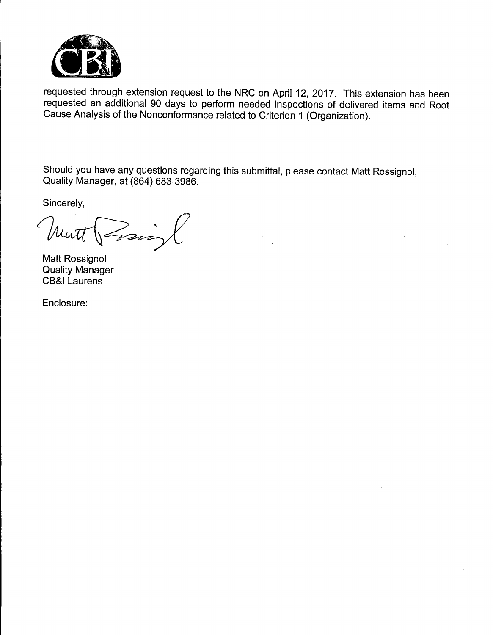

requested through extension request to the NRC on April 12, 2017. This extension has been requested an additional 90 days to perform needed inspections of delivered items and Root Cause Analysis of the Nonconformance related to Criterion 1 (Organization).

Should you have any questions regarding this submittal, please contact Matt Rossignol, Quality Manager, at (864) 683-3986.

Sincerely,

Prais Mutt

Matt Rossignol Quality Manager CB&I Laurens

Enclosure: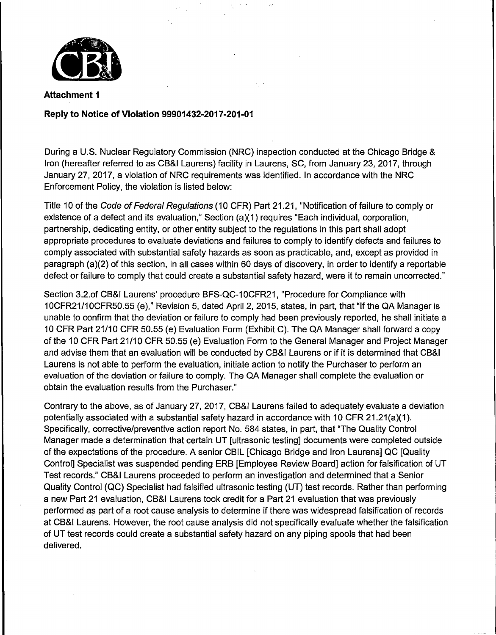

# Reply to Notice of Violation 99901432-2017-201-01

During a U.S. Nuclear Regulatory Commission (NRC) inspection conducted at the Chicago Bridge & Iron (hereafter referred to as CB&I Laurens) facility in Laurens, SC, from January 23, 2017, through January 27, 2017, a violation of NRC requirements was identified. In accordance with the NRC Enforcement Policy, the violation is listed below:

Title 10 of the Code of Federal Regulations (10 CFR) Part 21.21, "Notification of failure to comply or existence of a defect and its evaluation," Section (a)(1) requires "Each individual, corporation, partnership, dedicating entity, or other entity subject to the regulations in this part shall adopt appropriate procedures to evaluate deviations and failures to comply to identify defects and failures to comply associated with substantial safety hazards as soon as practicable, and, except as provided in paragraph (a)(2) of this section, in all cases within 60 days of discovery, in order to identify a reportable defect or failure to comply that could create a substantial safety hazard, were it to remain uncorrected."

Section 3.2.of CB&I Laurens' procedure BFS-QC-10CFR21, "Procedure for Compliance with 10CFR21/1 OCFR50.55 (e)," Revision 5, dated April 2, 2015, states, in part, that "If the QA Manager is unable to confirm that the deviation or failure to comply had been previously reported, he shall initiate a 10 CFR Part 21/10 CFR 50.55 (e) Evaluation Form (Exhibit C). The QA Manager shall forward a copy of the 10 CFR Part 21/10 CFR 50.55 (e) Evaluation Form to the General Manager and Project Manager and advise them that an evaluation will be conducted by CB&I Laurens or if it is determined that CB&I Laurens is not able to perform the evaluation, initiate action to notify the Purchaser to perform an evaluation of the deviation or failure to comply. The QA Manager shall complete the evaluation or obtain the evaluation results from the Purchaser."

Contrary to the above, as of January 27, 2017, CB&I Laurens failed to adequately evaluate a deviation potentially associated with a substantial safety hazard in accordance with 10 CFR 21.21(a)(1). Specifically, corrective/preventive action report No. 584 states, in part, that "The Quality Control Manager made a determination that certain UT [ultrasonic testing] documents were completed outside of the expectations of the procedure. A senior CBIL [Chicago Bridge and Iron Laurens] QC [Quality Control] Specialist was suspended pending ERB [Employee Review Board] action for falsification of UT Test records." CB&I Laurens proceeded to perform an investigation and determined that a Senior Quality Control (QC) Specialist had falsified ultrasonic testing (UT) test records. Rather than performing a new Part 21 evaluation, CB&I Laurens took credit for a Part 21 evaluation that was previously performed as part of a root cause analysis to determine if there was widespread falsification of records at CB&I Laurens. However, the root cause analysis did not specifically evaluate whether the falsification of UT test records could create a substantial safety hazard on any piping spools that had been delivered.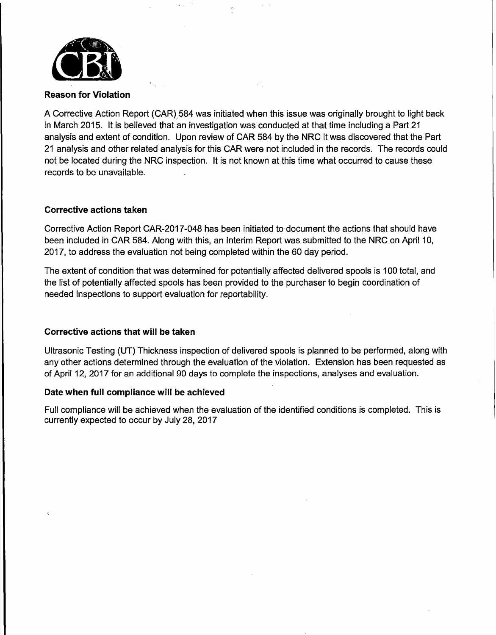

**Reason for Violation** 

A Corrective Action Report (CAR) 584 was initiated when this issue was originally brought to light back in March 2015. It is believed that an investigation was conducted at that time including a Part 21 analysis and extent of condition. Upon review of CAR 584 by the NRC it was discovered that the Part 21 analysis and other related analysis for this CAR were not included in the records. The records could not be located during the NRC inspection. It is not known at this time what occurred to cause these records to be unavailable.

## **Corrective actions taken**

Corrective Action Report CAR-2017-048 has been initiated to document the actions that should have been included in CAR 584. Along with this, an Interim Report was submitted to the NRC on April 10, 2017, to address the evaluation not being completed within the 60 day period.

The extent of condition that was determined for potentially affected delivered spools is 100 total, ·and the list of potentially affected spools has been provided to the purchaser to begin coordination of needed inspections to support evaluation for reportability.

# **Corrective actions that will be taken**

Ultrasonic Testing (UT} Thickness inspection of delivered spools is planned to be performed, along with any other actions determined through the evaluation of the violation. Extension has been requested as of April 12, 2017 for an additional 90 days to complete the inspections, analyses and evaluation.

## **Date when full compliance will be achieved**

Full compliance will be achieved when the evaluation of the identified conditions is completed. This is currently expected to occur by July 28, 2017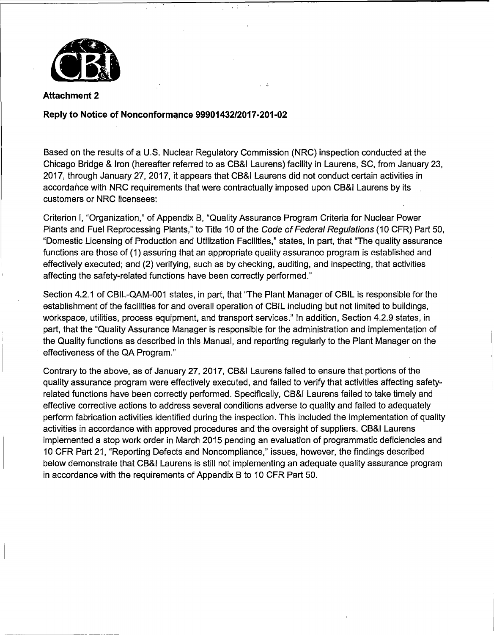

# **Reply to Notice of** Nonconform~nce **99901432/2017-201-02**

Based on the results of a U.S. Nuclear Regulatory Commission (NRC) inspection conducted at the Chicago Bridge & Iron (hereafter referred to as CB&I Laurens) facility in Laurens, SC, from January 23, 2017, through January 27, 2017, it appears that CB&I Laurens did not conduct certain activities in accordance with NRC requirements that were contractually imposed upon CB&I Laurens by its customers or NRC licensees:

 $\rightarrow$ 

Criterion I, "Organization," of Appendix B, "Quality Assurance Program Criteria for Nuclear Power Plants and Fuel Reprocessing Plants," to Title 10 of the Code of Federal Regulations (10 CFR) Part 50, "Domestic Licensing of Production and Utilization Facilities," states, in part, that "The quality assurance functions are those of (1) assuring that an appropriate quality assurance program is established and effectively executed; and (2) verifying, such as by checking, auditing, and inspecting, that activities affecting the safety-related functions have been correctly performed."

Section 4.2.1 of CBIL-QAM-001 states, in part, that "The Plant Manager of CBIL is responsible for the establishment of the facilities for and overall operation of CBIL including but not limited to buildings, workspace, utilities, process equipment, and transport services." In addition, Section 4.2.9 states, in part, that the "Quality Assurance Manager is responsible for the administration and implementation of the Quality functions as described in this Manual, and reporting regularly to the Plant Manager on the effectiveness of the QA Program."

Contrary to the above, as of January 27, 2017, CB&I Laurens failed to ensure that portions of the quality assurance program were effectively executed, and failed to verify that activities affecting safetyrelated functions have been correctly performed. Specifically, CB&I Laurens failed to take timely and effective corrective actions to address several conditions adverse to quality and failed to adequately perform fabrication activities identified during the inspection. This included the implementation of quality activities in accordance with approved procedures and the oversight of suppliers. CB&I Laurens implemented a stop work order in March 2015 pending an evaluation of programmatic deficiencies and 10 CFR Part 21, "Reporting Defects and Noncompliance," issues, however, the findings described below demonstrate that CB&I Laurens is still not implementing an adequate quality assurance program in accordance with the requirements of Appendix B to 10 CFR Part 50.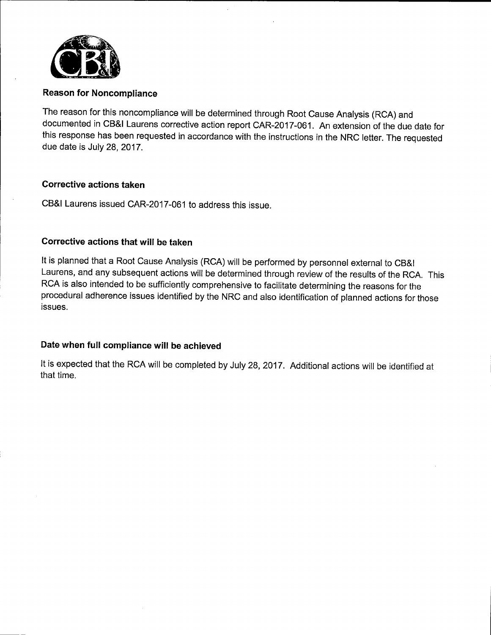

The reason for this noncompliance will be determined through Root Cause Analysis (RCA) and documented in CB&I Laurens corrective action report CAR-2017-061. An extension of the due date for this response has been requested in accordance with the instructions in the NRG letter. The requested due date is July 28, 2017.

## **Corrective actions taken**

CB&I Laurens issued CAR-2017-061 to address this issue.

# **Corrective actions that will be taken**

It is planned that a Root Cause Analysis (RCA) will be performed by personnel external to CB&I Laurens, and any subsequent actions will be determined through review of the results of the RCA. This RCA is also intended to be sufficiently comprehensive to facilitate determining the reasons for the procedural adherence issues identified by the NRG and also identification of planned actions for those issues.

# **Date when full compliance will be achieved**

It is expected that the RCA will be completed by July 28, 2017. Additional actions will be identified at that time.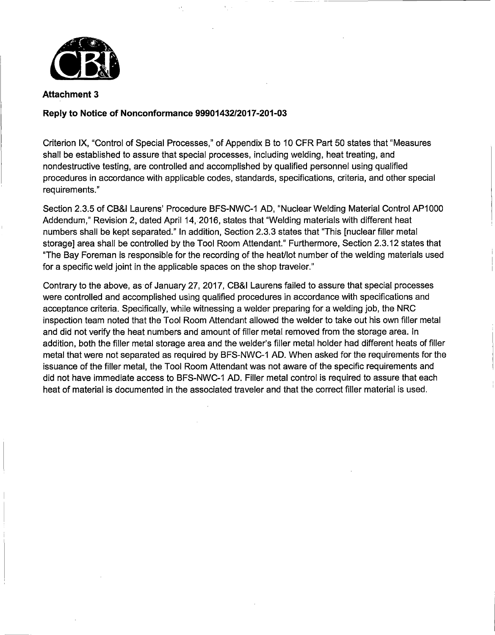

#### **Reply to Notice of Nonconformance 99901432/2017-201-03**

Criterion IX, "Control of Special Processes,'' of Appendix 8 to 10 CFR Part 50 states that "Measures shall be established to assure that special processes, including welding, heat treating, and nondestructive testing, are controlled and accomplished by qualified personnel using qualified procedures in accordance with applicable codes, standards, specifications, criteria, and other special requirements."

Section 2.3.5 of CB&I Laurens' Procedure BFS-NWC-1 AD, "Nuclear Welding Material Control AP1000 Addendum," Revision 2, dated April 14, 2016, states that "Welding materials with different heat numbers shall be kept separated." In addition, Section 2.3.3 states that 'This [nuclear filler metal storage] area shall be controlled by the Tool Room Attendant." Furthermore, Section 2.3.12 states that "The Bay Foreman is responsible for the recording of the heat/lot number of the welding materials used for a specific weld joint in the applicable spaces on the shop traveler."

Contrary to the above, as of January 27, 2017, CB&I Laurens failed to assure that special processes were controlled and accomplished using qualified procedures in accordance with specifications and acceptance criteria. Specifically, while witnessing a welder preparing for a welding job, the NRC inspection team noted that the Tool Room Attendant allowed the welder to take out his own filler metal and did not verify the heat numbers and amount of filler metal removed from the storage area. In addition, both the filler metal storage area and the welder's filler metal holder had different heats of filler metal that were not separated as required by BFS-NWC-1 AD. When asked for the requirements for the issuance of the filler metal, the Tool Room Attendant was not aware of the specific requirements and did not have immediate access to BFS-NWC-1 AD. Filler metal control is required to assure that each heat of material is documented in the associated traveler and that the correct filler material is used.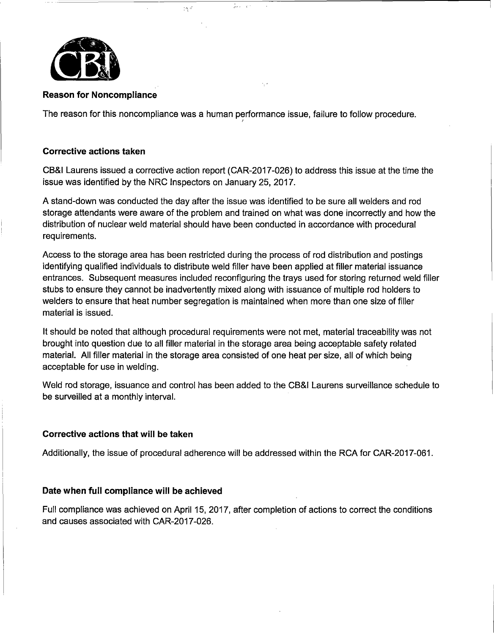

The reason for this noncompliance was a human performance issue, failure to follow procedure.

 $\langle \mathcal{A}, \mathcal{A} \rangle$ 

#### **Corrective actions taken**

CB&I Laurens issued a corrective action report (CAR-2017-026) to address this issue at the time the issue was identified by the NRC Inspectors on January 25, 2017.

A stand-down was conducted the day after the issue was identified to be sure all welders and rod storage attendants were aware of the problem and trained on what was done incorrectly and how the distribution of nuclear weld material should have been conducted in accordance with procedural requirements.

Access to the storage area has been restricted during the process of rod distribution and postings identifying qualified individuals to distribute weld filler have been applied at filler material issuance entrances. Subsequent measures included reconfiguring the trays used for storing returned weld filler stubs to ensure they cannot be inadvertently mixed along with issuance of multiple rod holders to welders to ensure that heat number segregation is maintained when more than one size of filler material is issued.

It should be noted that although procedural requirements were not met, material traceability was not brought into question due to all filler material in the storage area being acceptable safety related material. All filler material in the storage area consisted of one heat per size, all of which being acceptable for use in welding.

Weld rod storage, issuance and control has been added to the CB&I Laurens surveillance schedule to be surveilled at a monthly interval.

## **Corrective actions that will be taken**

Additionally, the issue of procedural adherence will be addressed within the RCA for CAR-2017-061.

#### **Date when full compliance will be achieved**

Full compliance was achieved on April 15, 2017, after completion of actions to correct the conditions and causes associated with CAR-2017-026.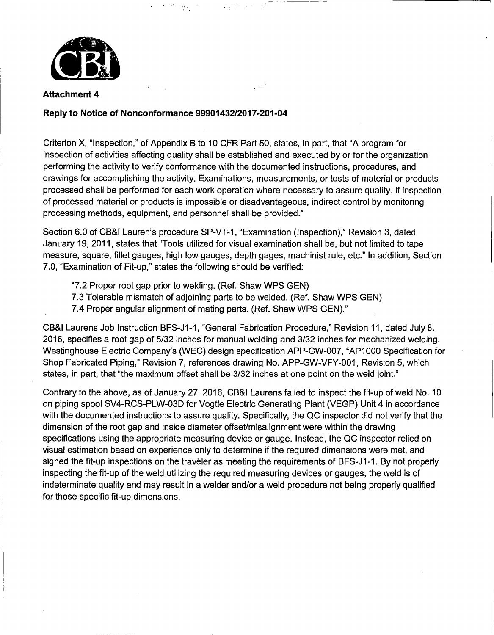

## **Reply to Notice of Nonconformance 99901432/2017-201-04**

Criterion X, "Inspection," of Appendix B to 10 CFR Part 50, states, in part, that "A program for inspection of activities affecting quality shall be established and executed by or for the organization performing the activity to verify conformance with the documented instructions, procedures, and drawings for accomplishing the activity. Examinations, measurements, or tests of material or products processed shall be performed for each work operation where necessary to assure quality. If inspection of processed material or products is impossible or disadvantageous, indirect control by monitoring processing methods, equipment, and personnel shall be provided."

Section 6.0 of CB&I Lauren's procedure SP-VT-1, "Examination (Inspection)," Revision 3, dated January 19, 2011, states that "Tools utilized for visual examination shall be, but not limited to tape measure, square, fillet gauges, high low gauges, depth gages, machinist rule, etc." In addition, Section 7.0, "Examination of Fit-up," states the following should be verified:

- "7.2 Proper root gap prior to welding. (Ref. Shaw WPS GEN)
- 7.3 Tolerable mismatch of adjoining parts to be welded. (Ref. Shaw WPS GEN)
- 7.4 Proper angular alignment of mating parts. (Ref. Shaw WPS GEN)."

CB&I Laurens Job Instruction BFS-J1-1, "General Fabrication Procedure," Revision 11, dated July 8, 2016, specifies a root gap of 5/32 inches for manual welding and 3/32 inches for mechanized welding. Westinghouse Electric Company's (WEC) design specification APP-GW-007, "AP1000 Specification for Shop Fabricated Piping," Revision 7, references drawing No. APP-GW-VFY-001, Revision 5, which states, in part, that "the maximum offset shall be 3/32 inches at one point on the weld joint."

Contrary to the above, as of January 27, 2016, CB&I Laurens failed to inspect the fit-up of weld No. 10 on piping spool SV4-RCS-PLW-03D for Vogtle Electric Generating Plant (VEGP) Unit 4 in accordance with the documented instructions to assure quality. Specifically, the QC inspector did not verify that the dimension of the root gap and inside diameter offset/misalignment were within the drawing specifications using the appropriate measuring device or gauge. Instead, the QC inspector relied on visual estimation based on experience only to determine if the required dimensions were met, and signed the fit-up inspections on the traveler as meeting the requirements of BFS-J1-1. By not properly inspecting the fit-up of the weld utilizing the required measuring devices or gauges, the weld is of indeterminate quality and may result in a welder and/or a weld procedure not being properly qualified for those specific fit-up dimensions.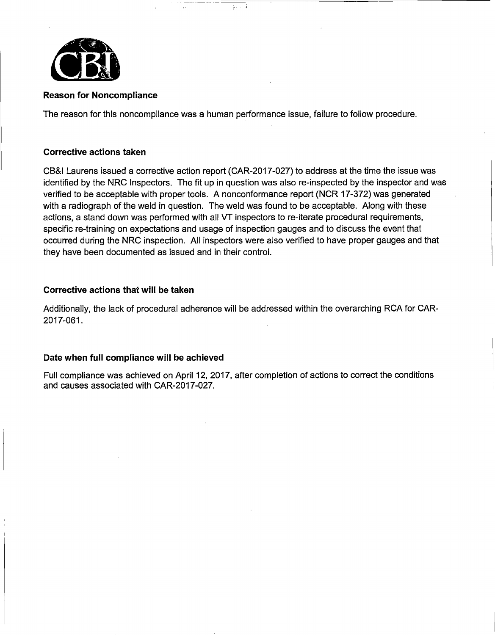

The reason for this noncompliance was a human performance issue, failure to follow procedure.

 $3 - 1$ 

#### **Corrective actions taken**

CB&I Laurens issued a corrective action report (CAR-2017-027) to address at the time the issue was identified by the NRC Inspectors. The fit up in question was also re-inspected by the inspector and was verified to be acceptable with proper tools. A nonconformance report (NCR 17-372) was generated with a radiograph of the weld in question. The weld was found to be acceptable. Along with these actions, a stand down was performed with all VT inspectors to re-iterate procedural requirements, specific re-training on expectations and usage of inspection gauges and to discuss the event that occurred during the NRC inspection. All inspectors were also verified to have proper gauges and that they have been documented as issued and in their control.

#### **Corrective actions that will be taken**

Additionally, the lack of procedural adherence will be addressed within the overarching RCA for CAR-2017-061.

#### **Date when full compliance will be achieved**

Full compliance was achieved on April 12, 2017, after completion of actions to correct the conditions and causes associated with CAR-2017-027.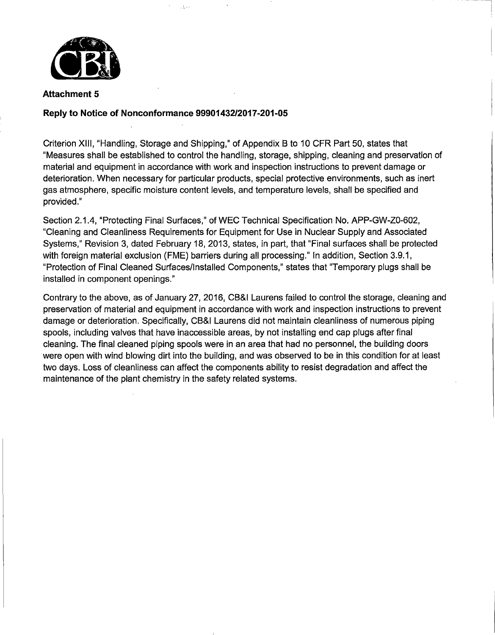

## **Reply to Notice of Nonconformance 99901432/2017-201-05**

 $\sqrt{3} \rightarrow 2$ 

Criterion XIII, "Handling, Storage and Shipping," of Appendix 8 to 10 CFR Part 50, states that "Measures shall be established to control the handling, storage, shipping, cleaning and preservation of material and equipment in accordance with work and inspection instructions to prevent damage or deterioration. When necessary for particular products, special protective environments, such as inert gas atmosphere, specific moisture content levels, and temperature levels, shall be specified and provided."

- - --- -----,

Section 2.1.4, "Protecting Final Surfaces," of WEC Technical Specification No. APP-GW-Z0-602, "Cleaning and Cleanliness Requirements for Equipment for Use in Nuclear Supply and Associated Systems," Revision 3, dated February 18, 2013, states, in part, that "Final surfaces shall be protected with foreign material exclusion (FME) barriers during all processing." In addition, Section 3.9.1, "Protection of Final Cleaned Surfaces/Installed Components," states that ''Temporary plugs shall be installed in component openings."

Contrary to the above, as of January 27, 2016, CB&I Laurens failed to control the storage, cleaning and preservation of material and equipment in accordance with work and inspection instructions to prevent damage or deterioration. Specifically, CB&I Laurens did not maintain cleanliness of numerous piping spools, including valves that have inaccessible areas, by not installing end cap plugs after final cleaning. The final cleaned piping spools were in an area that had no personnel, the building doors were open with wind blowing dirt into the building, and was observed to be in this condition for at least two days. Loss of cleanliness can affect the components ability to resist degradation and affect the maintenance of the plant chemistry in the safety related systems.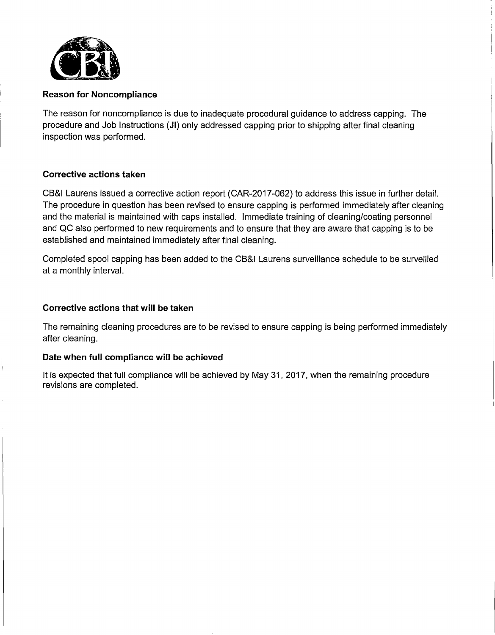

The reason for noncompliance is due to inadequate procedural guidance to address capping. The procedure and Job Instructions (JI) only addressed capping prior to shipping after final cleaning inspection was performed.

## **Corrective actions taken**

CB&I Laurens issued a corrective action report (CAR-2017-062) to address this issue in further detail. The procedure in question has been revised to ensure capping is performed immediately after cleaning and the material is maintained with caps installed. Immediate training of cleaning/coating personnel and QC also performed to new requirements and to ensure that they are aware that capping is to be established and maintained immediately after final cleaning.

Completed spool capping has been added to the CB&I Laurens surveillance schedule to be surveilled at a monthly interval.

## **Corrective actions that will be taken**

The remaining cleaning procedures are to be revised to ensure capping is being performed immediately after cleaning.

## **Date when full compliance will be achieved**

It is expected that full compliance will be achieved by May 31, 2017, when the remaining procedure revisions are completed.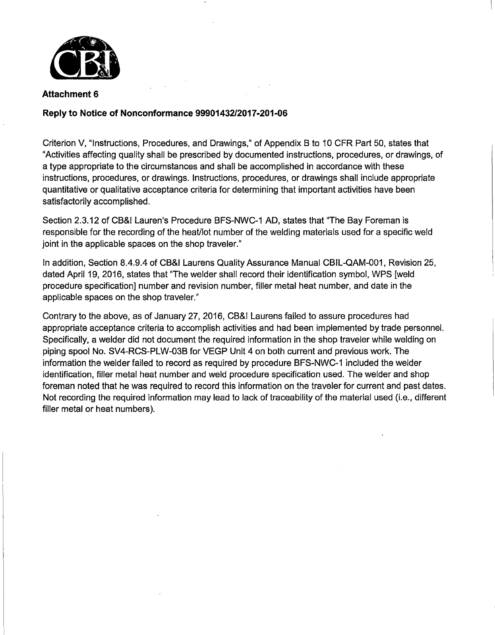

## **Reply to Notice of Nonconformance 99901432/2017-201-06**

Criterion V, "Instructions, Procedures, and Drawings," of Appendix B to 10 CFR Part 50, states that "Activities affecting quality shall be prescribed by documented instructions, procedures, or drawings, of a type appropriate to the circumstances and shall be accomplished in accordance with these instructions, procedures, or drawings. Instructions, procedures, or drawings shall include appropriate quantitative or qualitative acceptance criteria for determining that important activities have been satisfactorily accomplished.

Section 2.3.12 of CB&I Lauren's Procedure BFS-NWC-1 AD, states that "The Bay Foreman is responsible for the recording of the heat/lot number of the welding materials used for a specific weld joint in the applicable spaces on the shop traveler."

In addition, Section 8.4.9.4 of CB&I Laurens Quality Assurance Manual CBIL-QAM-001, Revision 25, dated April 19, 2016, states that "The welder shall record their identification symbol, WPS [weld procedure specification] number and revision number, filler metal heat number, and date in the applicable spaces on the shop traveler."

Contrary to the above, as of January 27, 2016, CB&I Laurens failed to assure procedures had appropriate acceptance criteria to accomplish activities and had been implemented by trade personnel. Specifically, a welder did not document the required information in the shop traveler while welding on piping spool No. SV4-RCS-PLW-038 for VEGP Unit 4 on both current and previous work. The information the welder failed to record as required by procedure BFS-NWC-1 included the welder identification, filler metal heat number and weld procedure specification used. The welder and shop foreman noted that he was required to record this information on the traveler for current and past dates. Not recording the required information may lead to lack of traceability of the material used (i.e., different filler metal or heat numbers).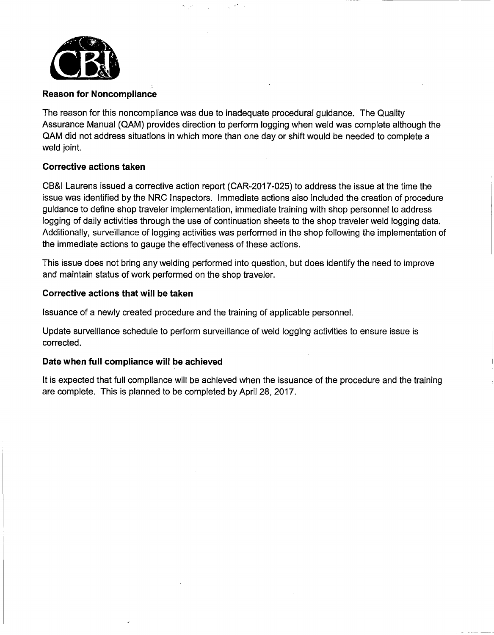

The reason for this noncompliance was due to inadequate procedural guidance. The Quality Assurance Manual (QAM) provides direction to perform logging when weld was complete although the QAM did not address situations in which more than one day or shift would be needed to complete a weld joint.

#### **Corrective actions taken**

CB&I Laurens issued a corrective action report (CAR-2017-025) to address the issue at the time the issue was identified by the NRC Inspectors. Immediate actions also included the creation of procedure guidance to define shop traveler implementation, immediate training with shop personnel to address logging of daily activities through the use of continuation sheets to the shop traveler weld logging data. Additionally, surveillance of logging activities was performed in the shop following the implementation of the immediate actions to gauge the effectiveness of these actions.

This issue does not bring any welding performed into question, but does identify the need to improve and maintain status of work performed on the shop traveler.

#### **Corrective actions that will be taken**

Issuance of a newly created procedure and the training of applicable personnel.

-·,, .·

Update surveillance schedule to perform surveillance of weld logging activities to ensure issue is corrected.

## **Date when full compliance will be achieved**

It is expected that full compliance will be achieved when the issuance of the procedure and the training are complete. This is planned to be completed by April 28, 2017.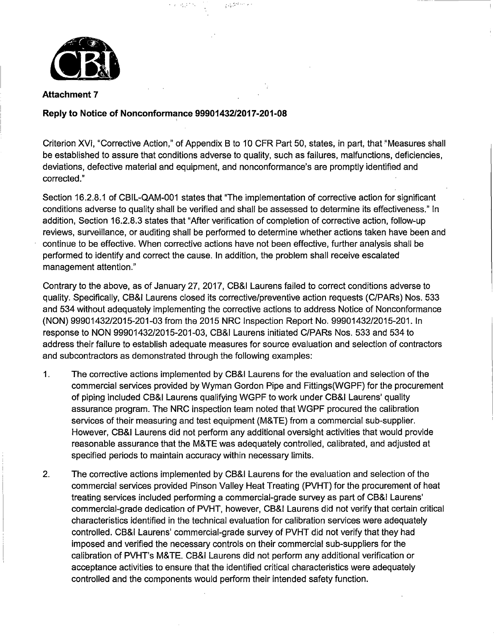

#### **Reply to Notice of Nonconformance 99901432/2017-201-08**

 $\mathfrak{p}_\ast\colon\mathbb{R}^n\to\mathbb{R}^n$  .  $\mathfrak{p}_\ast\colon\mathbb{R}^n\to\mathbb{R}^n$ 

Criterion XVI, "Corrective Action," of Appendix B to 10 CFR Part 50, states, in part, that "Measures shall be established to assure that conditions adverse to quality, such as failures, malfunctions, deficiencies, deviations, defective material and equipment, and nonconformance's are promptly identified and corrected."

Section 16.2.8.1 of CBIL-QAM-001 states that "The implementation of corrective action for significant conditions adverse to quality shall be verified and shall be assessed to determine its effectiveness." In addition, Section 16.2.8.3 states that "After verification of completion of corrective action, follow-up reviews, surveillance, or auditing shall be performed to determine whether actions taken have been and continue to be effective. When corrective actions have not been effective, further analysis shall be performed to identify and correct the cause. In addition, the problem shall receive escalated management attention."

Contrary to the above, as of January 27, 2017, CB&I Laurens failed to correct conditions adverse to quality. Specifically, CB&I Laurens closed its corrective/preventive action requests (C/PARs) Nos. 533 and 534 without adequately implementing the corrective actions to address Notice of Nonconformance (NON) 99901432/2015-201-03 from the 2015 NRC Inspection Report No. 99901432/2015-201. In response to NON 99901432/2015-201-03, CB&I Laurens initiated C/PARs Nos. 533 and 534 to address their failure to establish adequate measures for source evaluation and selection of contractors and subcontractors as demonstrated through the following examples:

- 1. The corrective actions implemented by CB&I Laurens for the evaluation and selection of the commercial services provided by Wyman Gordon Pipe and Fittings(WGPF) for the procurement of piping included CB&I Laurens qualifying WGPF to work under CB&I Laurens' quality assurance program. The NRC inspection team noted that WGPF procured the calibration services of their measuring and test equipment (M&TE) from a commercial sub-supplier. However, CB&I Laurens did not perform any additional oversight activities that would provide reasonable assurance that the M&TE was adequately controlled, calibrated, and adjusted at specified periods to maintain accuracy within necessary limits.
- 2. The corrective actions implemented by CB&I Laurens for the evaluation and selection of the commercial services provided Pinson Valley Heat Treating (PVHT) for the procurement of heat treating services included performing a commercial-grade survey as part of CB&I Laurens' commercial-grade dedication of PVHT, however, CB&I Laurens did not verify that certain critical characteristics identified in the technical evaluation for calibration services were adequately controlled. CB&I Laurens' commercial-grade survey of PVHT did not verify that they had imposed and verified the necessary controls on their commercial sub-suppliers for the calibration of PVHT's M& TE. CB&I Laurens did not perform any additional verification or acceptance activities to ensure that the identified critical characteristics were adequately controlled and the components would perform their intended safety function.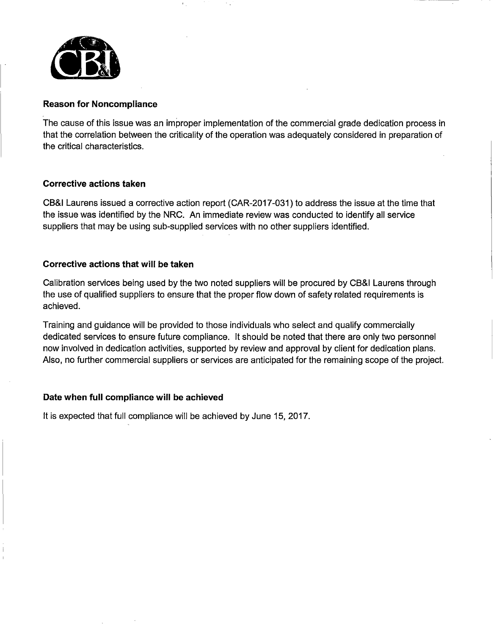

The cause of this issue was an improper implementation of the commercial grade dedication process in that the correlation between the criticality of the operation was adequately considered in preparation of the critical characteristics.

## **Corrective actions taken**

CB&I Laurens issued a corrective action report (CAR-2017-031) to address the issue at the time that the issue was identified by the NRC. An immediate review was conducted to identify all service suppliers that may be using sub-supplied services with no other suppliers identified.

## **Corrective actions that will be taken**

Calibration services being used by the two noted suppliers will be procured by CB&I Laurens through the use of qualified suppliers to ensure that the proper flow down of safety related requirements is achieved.

Training and guidance will be provided to those individuals who select and qualify commercially dedicated services to ensure future compliance. It should be noted that there are only two personnel now involved in dedication activities, supported by review and approval by client for dedication plans. Also, no further commercial suppliers or services are anticipated for the remaining scope of the project.

## **Date when full compliance will be achieved**

It is expected that full compliance will be achieved by June 15, 2017.